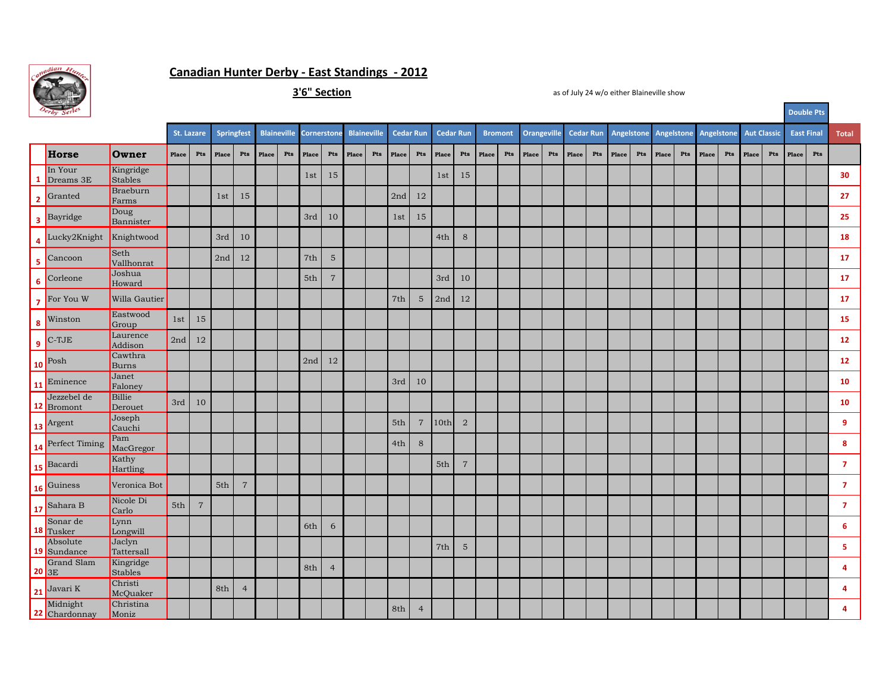

## **Canadian Hunter Derby - East Standings - 2012**

**3'6" Section**

|                         | $ \sigma$ <i>y</i> $\sigma$      |                             |       |                                  |                          |                |       |     |                                     |                         |       |     |                  |                                  |                  |                                  | Double Fts     |     |                    |     |       |     |       |     |                                            |     |       |     |                    |     |                   |     |                         |
|-------------------------|----------------------------------|-----------------------------|-------|----------------------------------|--------------------------|----------------|-------|-----|-------------------------------------|-------------------------|-------|-----|------------------|----------------------------------|------------------|----------------------------------|----------------|-----|--------------------|-----|-------|-----|-------|-----|--------------------------------------------|-----|-------|-----|--------------------|-----|-------------------|-----|-------------------------|
|                         |                                  |                             |       |                                  | Springfest<br>St. Lazare |                |       |     | Blaineville Cornerstone Blaineville |                         |       |     | <b>Cedar Run</b> |                                  | <b>Cedar Run</b> |                                  | <b>Bromont</b> |     | <b>Orangeville</b> |     |       |     |       |     | Cedar Run Angelstone Angelstone Angelstone |     |       |     | <b>Aut Classic</b> |     | <b>East Final</b> |     | Total                   |
|                         | Horse                            | Owner                       | Place | $\mathbf{P}\mathbf{t}\mathbf{s}$ | Place                    | Pts            | Place | Pts | Place                               | $\mathbf{P}\mathsf{ts}$ | Place | Pts | Place            | $\mathbf{P}\mathbf{t}\mathbf{s}$ | Place            | $\mathbf{P}\mathbf{t}\mathbf{s}$ | Place          | Pts | Place              | Pts | Place | Pts | Place | Pts | Place                                      | Pts | Place | Pts | Place              | Pts | Place             | Pts |                         |
| 1                       | In Your<br>Dreams 3E             | Kingridge<br>Stables        |       |                                  |                          |                |       |     | 1st                                 | 15                      |       |     |                  |                                  | 1st              | 15                               |                |     |                    |     |       |     |       |     |                                            |     |       |     |                    |     |                   |     | 30                      |
| $\overline{2}$          | Granted                          | Braeburn<br>Farms           |       |                                  | 1st                      | 15             |       |     |                                     |                         |       |     | 2nd              | 12                               |                  |                                  |                |     |                    |     |       |     |       |     |                                            |     |       |     |                    |     |                   |     | 27                      |
| $\overline{\mathbf{3}}$ | Bayridge                         | Doug<br>Bannister           |       |                                  |                          |                |       |     | 3rd                                 | 10                      |       |     | 1st              | 15                               |                  |                                  |                |     |                    |     |       |     |       |     |                                            |     |       |     |                    |     |                   |     | 25                      |
| 4                       | Lucky2Knight                     | Knightwood                  |       |                                  | 3rd                      | 10             |       |     |                                     |                         |       |     |                  |                                  | 4th              | $\,8\,$                          |                |     |                    |     |       |     |       |     |                                            |     |       |     |                    |     |                   |     | 18                      |
| 5 <sub>1</sub>          | Cancoon                          | Seth<br>Vallhonrat          |       |                                  | 2nd                      | 12             |       |     | $7\mathrm{th}$                      | $\mathbf 5$             |       |     |                  |                                  |                  |                                  |                |     |                    |     |       |     |       |     |                                            |     |       |     |                    |     |                   |     | 17                      |
| 6 <sup>1</sup>          | Corleone                         | Joshua<br>Howard            |       |                                  |                          |                |       |     | 5th                                 | $\overline{7}$          |       |     |                  |                                  | 3rd              | 10                               |                |     |                    |     |       |     |       |     |                                            |     |       |     |                    |     |                   |     | 17                      |
|                         | $\frac{1}{7}$ For You W          | Willa Gautier               |       |                                  |                          |                |       |     |                                     |                         |       |     | 7th              | $\mathbf 5$                      | 2nd              | 12                               |                |     |                    |     |       |     |       |     |                                            |     |       |     |                    |     |                   |     | 17                      |
|                         | $\frac{1}{8}$ Winston            | Eastwood<br>Group           | 1st   | 15                               |                          |                |       |     |                                     |                         |       |     |                  |                                  |                  |                                  |                |     |                    |     |       |     |       |     |                                            |     |       |     |                    |     |                   |     | 15                      |
|                         | $\vert$ e $\vert$ C-TJE          | Laurence<br>Addison         | 2nd   | 12                               |                          |                |       |     |                                     |                         |       |     |                  |                                  |                  |                                  |                |     |                    |     |       |     |       |     |                                            |     |       |     |                    |     |                   |     | $\bf 12$                |
|                         | $10$ Posh                        | Cawthra<br><b>Burns</b>     |       |                                  |                          |                |       |     | 2nd                                 | 12                      |       |     |                  |                                  |                  |                                  |                |     |                    |     |       |     |       |     |                                            |     |       |     |                    |     |                   |     | $\bf 12$                |
|                         | 11 Eminence                      | Janet<br>Faloney            |       |                                  |                          |                |       |     |                                     |                         |       |     | 3rd              | 10                               |                  |                                  |                |     |                    |     |       |     |       |     |                                            |     |       |     |                    |     |                   |     | 10                      |
|                         | Jezzebel de<br>12 Bromont        | Billie<br>Derouet           | 3rd   | 10                               |                          |                |       |     |                                     |                         |       |     |                  |                                  |                  |                                  |                |     |                    |     |       |     |       |     |                                            |     |       |     |                    |     |                   |     | 10                      |
|                         | 13 Argent                        | Joseph<br>Cauchi            |       |                                  |                          |                |       |     |                                     |                         |       |     | 5th              | $\overline{7}$                   | 10th             | $\overline{2}$                   |                |     |                    |     |       |     |       |     |                                            |     |       |     |                    |     |                   |     | 9                       |
|                         | 14 Perfect Timing                | Pam<br>MacGregor            |       |                                  |                          |                |       |     |                                     |                         |       |     | 4th              | 8                                |                  |                                  |                |     |                    |     |       |     |       |     |                                            |     |       |     |                    |     |                   |     | 8                       |
|                         | 15 Bacardi                       | Kathy<br>Hartling           |       |                                  |                          |                |       |     |                                     |                         |       |     |                  |                                  | 5th              | $\overline{7}$                   |                |     |                    |     |       |     |       |     |                                            |     |       |     |                    |     |                   |     | $\overline{7}$          |
|                         | 16 Guiness                       | Veronica Bot                |       |                                  | 5th                      | $\overline{7}$ |       |     |                                     |                         |       |     |                  |                                  |                  |                                  |                |     |                    |     |       |     |       |     |                                            |     |       |     |                    |     |                   |     | $\mathbf{7}$            |
|                         | 17 Sahara B                      | Nicole Di<br>Carlo          | 5th   | $\overline{7}$                   |                          |                |       |     |                                     |                         |       |     |                  |                                  |                  |                                  |                |     |                    |     |       |     |       |     |                                            |     |       |     |                    |     |                   |     | $\mathbf{7}$            |
|                         | Sonar de<br>18 Tusker            | Lynn<br>Longwill            |       |                                  |                          |                |       |     | 6th                                 | 6                       |       |     |                  |                                  |                  |                                  |                |     |                    |     |       |     |       |     |                                            |     |       |     |                    |     |                   |     | 6 <sup>1</sup>          |
|                         | Absolute<br>19 Sundance          | Jaclyn<br>Tattersall        |       |                                  |                          |                |       |     |                                     |                         |       |     |                  |                                  | 7th              | $\mathbf 5$                      |                |     |                    |     |       |     |       |     |                                            |     |       |     |                    |     |                   |     | 5                       |
|                         | <b>Grand Slam</b><br>$ 20 _{3E}$ | Kingridge<br><b>Stables</b> |       |                                  |                          |                |       |     | 8th                                 | $\overline{4}$          |       |     |                  |                                  |                  |                                  |                |     |                    |     |       |     |       |     |                                            |     |       |     |                    |     |                   |     | $\overline{\mathbf{4}}$ |
|                         | $\int 21$ <sup>Javari</sup> K    | Christi<br>McQuaker         |       |                                  | 8th                      | $\overline{4}$ |       |     |                                     |                         |       |     |                  |                                  |                  |                                  |                |     |                    |     |       |     |       |     |                                            |     |       |     |                    |     |                   |     | $\overline{\mathbf{4}}$ |
| Г                       | Midnight<br>22 Chardonnay        | Christina<br>Moniz          |       |                                  |                          |                |       |     |                                     |                         |       |     | 8th              | $\overline{4}$                   |                  |                                  |                |     |                    |     |       |     |       |     |                                            |     |       |     |                    |     |                   |     | 4                       |

as of July 24 w/o either Blaineville show

**Double Pts**